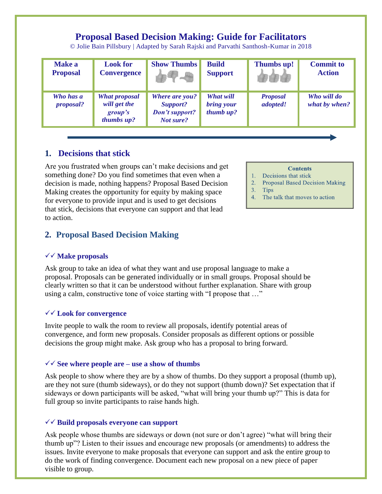# **Proposal Based Decision Making: Guide for Facilitators**

© Jolie Bain Pillsbury | Adapted by Sarah Rajski and Parvathi Santhosh-Kumar in 2018

| <b>Make a</b><br><b>Proposal</b> | <b>Look for</b><br><b>Convergence</b>                         | <b>Show Thumbs</b>                                                      | <b>Build</b><br><b>Support</b>       | Thumbs up!                  | <b>Commit to</b><br><b>Action</b> |
|----------------------------------|---------------------------------------------------------------|-------------------------------------------------------------------------|--------------------------------------|-----------------------------|-----------------------------------|
| Who has a<br><i>proposal?</i>    | <b>What proposal</b><br>will get the<br>group's<br>thumbs up? | <b>Where are you?</b><br>Support?<br><b>Don't support?</b><br>Not sure? | What will<br>bring your<br>thumb up? | <b>Proposal</b><br>adopted! | Who will do<br>what by when?      |

## **1. Decisions that stick**

Are you frustrated when groups can't make decisions and get something done? Do you find sometimes that even when a decision is made, nothing happens? Proposal Based Decision Making creates the opportunity for equity by making space for everyone to provide input and is used to get decisions that stick, decisions that everyone can support and that lead to action.

## **2. Proposal Based Decision Making**

#### **Make proposals**

Ask group to take an idea of what they want and use proposal language to make a proposal. Proposals can be generated individually or in small groups. Proposal should be clearly written so that it can be understood without further explanation. Share with group using a calm, constructive tone of voice starting with "I propose that …"

#### **Look for convergence**

Invite people to walk the room to review all proposals, identify potential areas of convergence, and form new proposals. Consider proposals as different options or possible decisions the group might make. Ask group who has a proposal to bring forward.

#### $\sqrt{\sqrt{}}$  See where people are – use a show of thumbs

Ask people to show where they are by a show of thumbs. Do they support a proposal (thumb up), are they not sure (thumb sideways), or do they not support (thumb down)? Set expectation that if sideways or down participants will be asked, "what will bring your thumb up?" This is data for full group so invite participants to raise hands high.

#### **Build proposals everyone can support**

Ask people whose thumbs are sideways or down (not sure or don't agree) "what will bring their thumb up"? Listen to their issues and encourage new proposals (or amendments) to address the issues. Invite everyone to make proposals that everyone can support and ask the entire group to do the work of finding convergence. Document each new proposal on a new piece of paper visible to group.

### **Contents**

- Decisions that stick
- 2. Proposal Based Decision Making
- $3.$  Tips
- 4. The talk that moves to action